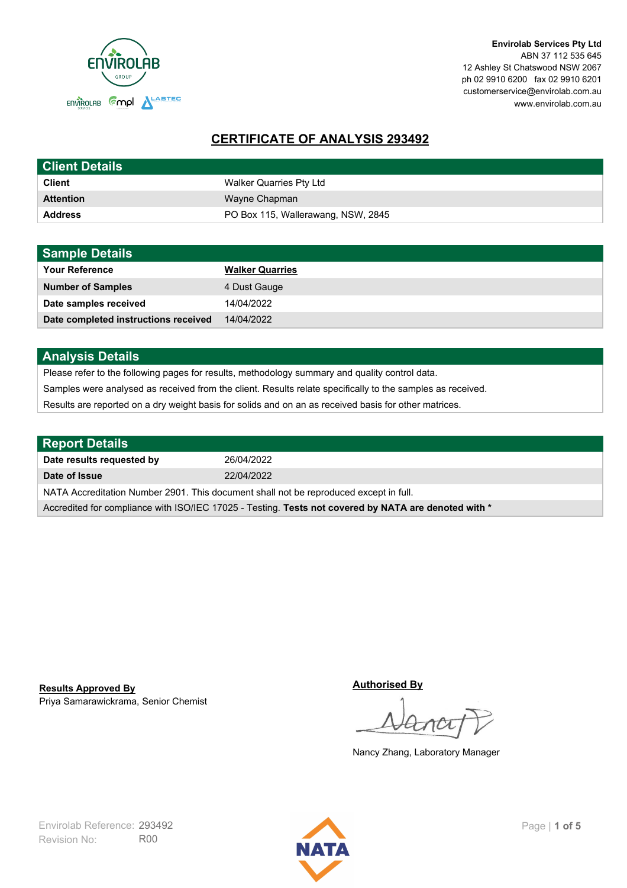

**Envirolab Services Pty Ltd** ABN 37 112 535 645 12 Ashley St Chatswood NSW 2067 ph 02 9910 6200 fax 02 9910 6201 customerservice@envirolab.com.au www.envirolab.com.au

# **CERTIFICATE OF ANALYSIS 293492**

| <b>Client Details</b> |                                    |
|-----------------------|------------------------------------|
| <b>Client</b>         | Walker Quarries Pty Ltd            |
| <b>Attention</b>      | Wayne Chapman                      |
| <b>Address</b>        | PO Box 115, Wallerawang, NSW, 2845 |

| <b>Sample Details</b>                |                        |
|--------------------------------------|------------------------|
| <b>Your Reference</b>                | <b>Walker Quarries</b> |
| <b>Number of Samples</b>             | 4 Dust Gauge           |
| Date samples received                | 14/04/2022             |
| Date completed instructions received | 14/04/2022             |

## **Analysis Details**

Please refer to the following pages for results, methodology summary and quality control data.

Samples were analysed as received from the client. Results relate specifically to the samples as received.

Results are reported on a dry weight basis for solids and on an as received basis for other matrices.

| Report Details                                                                                       |            |  |
|------------------------------------------------------------------------------------------------------|------------|--|
| Date results requested by                                                                            | 26/04/2022 |  |
| Date of Issue                                                                                        | 22/04/2022 |  |
| NATA Accreditation Number 2901. This document shall not be reproduced except in full.                |            |  |
| Accredited for compliance with ISO/IEC 17025 - Testing. Tests not covered by NATA are denoted with * |            |  |

Priya Samarawickrama, Senior Chemist **Results Approved By**

**Authorised By**

Nancy Zhang, Laboratory Manager

Revision No: R00 Envirolab Reference: 293492 Page | 1 of 5

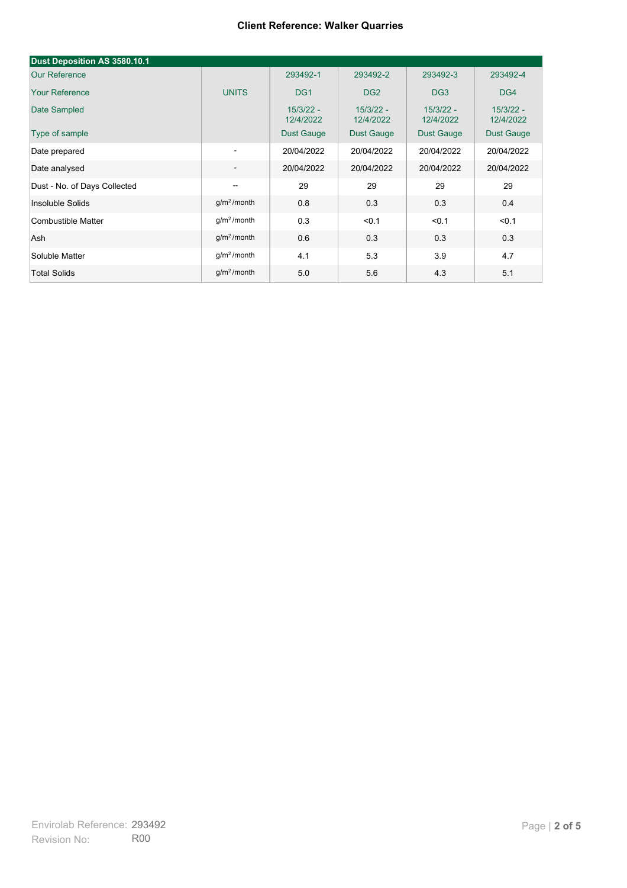| Dust Deposition AS 3580.10.1 |                          |                          |                          |                          |                          |
|------------------------------|--------------------------|--------------------------|--------------------------|--------------------------|--------------------------|
| <b>Our Reference</b>         |                          | 293492-1                 | 293492-2                 | 293492-3                 | 293492-4                 |
| <b>Your Reference</b>        | <b>UNITS</b>             | DG <sub>1</sub>          | DG <sub>2</sub>          | DG <sub>3</sub>          | DG4                      |
| Date Sampled                 |                          | $15/3/22 -$<br>12/4/2022 | $15/3/22 -$<br>12/4/2022 | $15/3/22 -$<br>12/4/2022 | $15/3/22 -$<br>12/4/2022 |
| Type of sample               |                          | <b>Dust Gauge</b>        | <b>Dust Gauge</b>        | <b>Dust Gauge</b>        | Dust Gauge               |
| Date prepared                | $\overline{\phantom{a}}$ | 20/04/2022               | 20/04/2022               | 20/04/2022               | 20/04/2022               |
| Date analysed                | $\overline{\phantom{a}}$ | 20/04/2022               | 20/04/2022               | 20/04/2022               | 20/04/2022               |
| Dust - No. of Days Collected | $\overline{\phantom{a}}$ | 29                       | 29                       | 29                       | 29                       |
| Insoluble Solids             | $g/m2$ /month            | 0.8                      | 0.3                      | 0.3                      | 0.4                      |
| Combustible Matter           | g/m <sup>2</sup> /month  | 0.3                      | < 0.1                    | < 0.1                    | < 0.1                    |
| Ash                          | g/m <sup>2</sup> /month  | 0.6                      | 0.3                      | 0.3                      | 0.3                      |
| Soluble Matter               | g/m <sup>2</sup> /month  | 4.1                      | 5.3                      | 3.9                      | 4.7                      |
| <b>Total Solids</b>          | $g/m2$ /month            | 5.0                      | 5.6                      | 4.3                      | 5.1                      |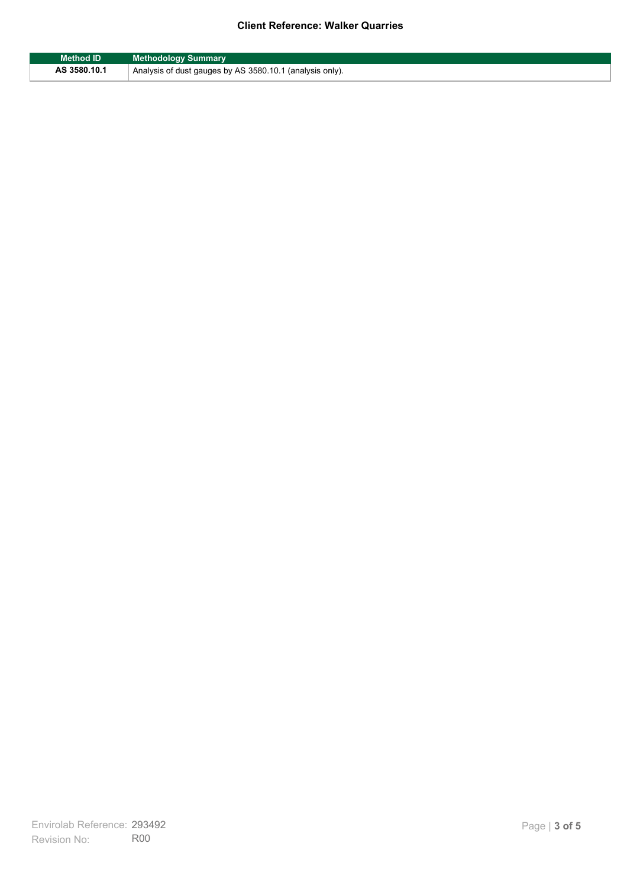| <b>Method ID</b> | <b>Methodology Summary</b>                               |
|------------------|----------------------------------------------------------|
| AS 3580.10.1     | Analysis of dust gauges by AS 3580.10.1 (analysis only). |

F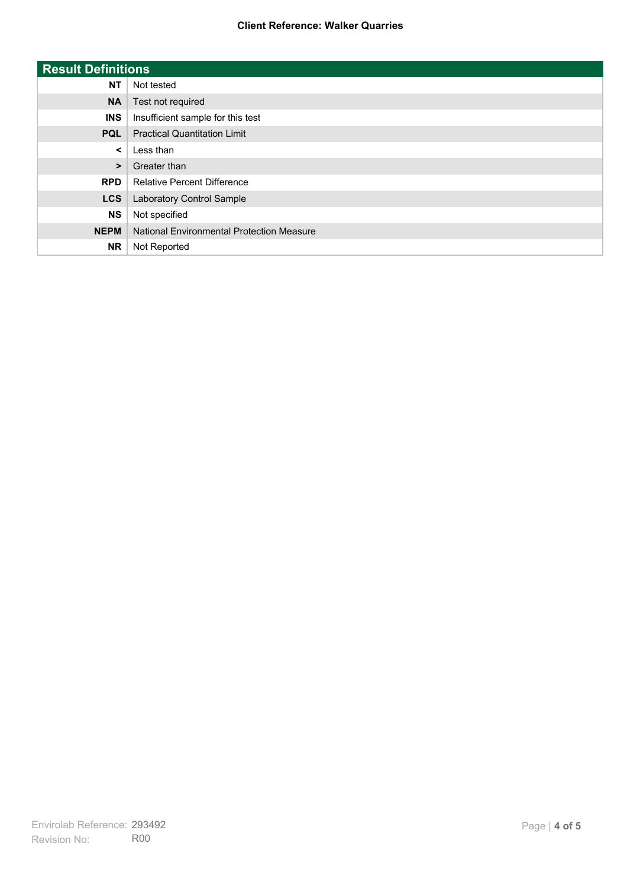| <b>Result Definitions</b> |                                           |
|---------------------------|-------------------------------------------|
| <b>NT</b>                 | Not tested                                |
| <b>NA</b>                 | Test not required                         |
| <b>INS</b>                | Insufficient sample for this test         |
| <b>PQL</b>                | <b>Practical Quantitation Limit</b>       |
| $\prec$                   | Less than                                 |
| $\geq$                    | Greater than                              |
| <b>RPD</b>                | <b>Relative Percent Difference</b>        |
| <b>LCS</b>                | Laboratory Control Sample                 |
| <b>NS</b>                 | Not specified                             |
| <b>NEPM</b>               | National Environmental Protection Measure |
| <b>NR</b>                 | Not Reported                              |